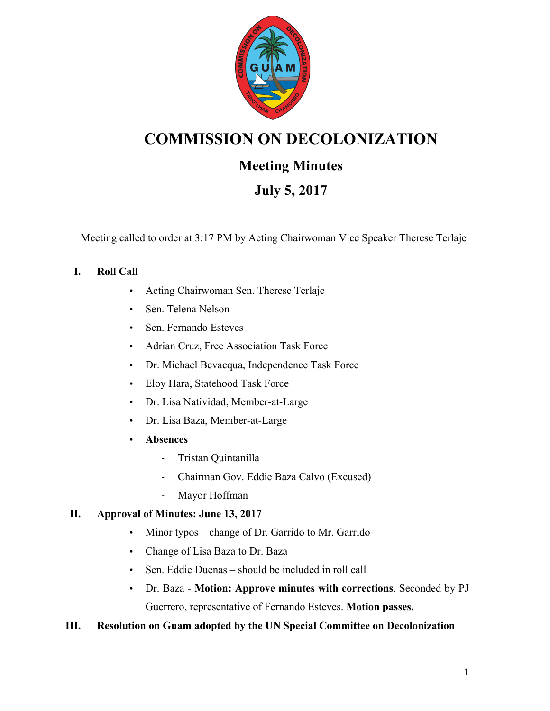

# **COMMISSION ON DECOLONIZATION**

# **Meeting Minutes**

# **July 5, 2017**

Meeting called to order at 3:17 PM by Acting Chairwoman Vice Speaker Therese Terlaje

# **I. Roll Call**

- Acting Chairwoman Sen. Therese Terlaje
- Sen. Telena Nelson
- Sen. Fernando Esteves
- Adrian Cruz, Free Association Task Force
- Dr. Michael Bevacqua, Independence Task Force
- Eloy Hara, Statehood Task Force
- Dr. Lisa Natividad, Member-at-Large
- Dr. Lisa Baza, Member-at-Large
- **Absences**
	- Tristan Quintanilla
	- Chairman Gov. Eddie Baza Calvo (Excused)
	- Mayor Hoffman

## **II. Approval of Minutes: June 13, 2017**

- Minor typos change of Dr. Garrido to Mr. Garrido
- Change of Lisa Baza to Dr. Baza
- Sen. Eddie Duenas should be included in roll call
- Dr. Baza **Motion: Approve minutes with corrections**. Seconded by PJ Guerrero, representative of Fernando Esteves. **Motion passes.**

## **III. Resolution on Guam adopted by the UN Special Committee on Decolonization**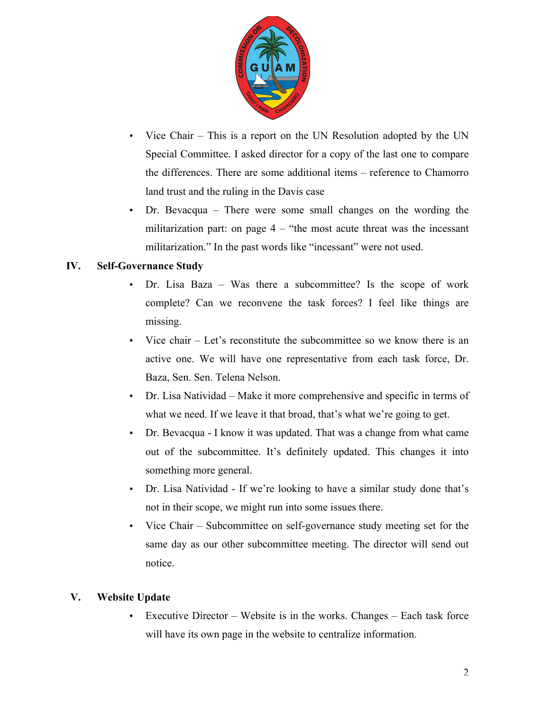

- Vice Chair This is a report on the UN Resolution adopted by the UN Special Committee. I asked director for a copy of the last one to compare the differences. There are some additional items – reference to Chamorro land trust and the ruling in the Davis case
- Dr. Bevacqua There were some small changes on the wording the militarization part: on page  $4 -$  "the most acute threat was the incessant militarization." In the past words like "incessant" were not used.

### **IV. Self-Governance Study**

- Dr. Lisa Baza Was there a subcommittee? Is the scope of work complete? Can we reconvene the task forces? I feel like things are missing.
- Vice chair Let's reconstitute the subcommittee so we know there is an active one. We will have one representative from each task force, Dr. Baza, Sen. Sen. Telena Nelson.
- Dr. Lisa Natividad Make it more comprehensive and specific in terms of what we need. If we leave it that broad, that's what we're going to get.
- Dr. Bevacqua I know it was updated. That was a change from what came out of the subcommittee. It's definitely updated. This changes it into something more general.
- Dr. Lisa Natividad If we're looking to have a similar study done that's not in their scope, we might run into some issues there.
- Vice Chair Subcommittee on self-governance study meeting set for the same day as our other subcommittee meeting. The director will send out notice.

#### **V. Website Update**

Executive Director – Website is in the works. Changes – Each task force will have its own page in the website to centralize information.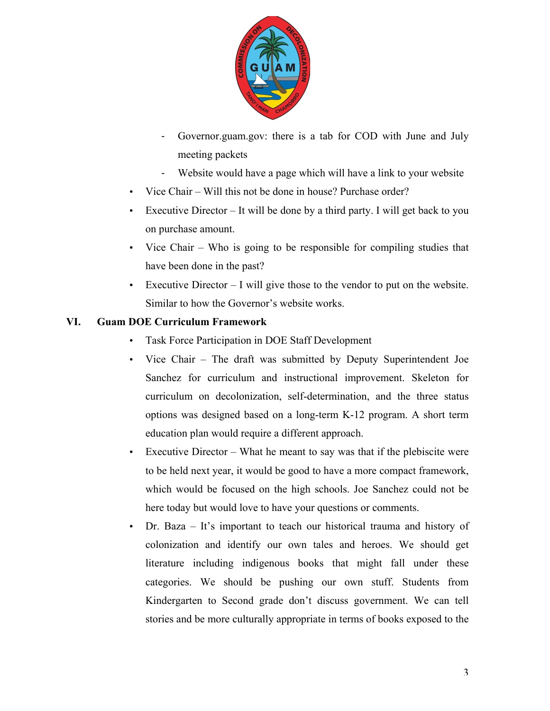

- Governor.guam.gov: there is a tab for COD with June and July meeting packets
- Website would have a page which will have a link to your website
- Vice Chair Will this not be done in house? Purchase order?
- Executive Director It will be done by a third party. I will get back to you on purchase amount.
- Vice Chair Who is going to be responsible for compiling studies that have been done in the past?
- Executive Director I will give those to the vendor to put on the website. Similar to how the Governor's website works.

#### **VI. Guam DOE Curriculum Framework**

- Task Force Participation in DOE Staff Development
- Vice Chair The draft was submitted by Deputy Superintendent Joe Sanchez for curriculum and instructional improvement. Skeleton for curriculum on decolonization, self-determination, and the three status options was designed based on a long-term K-12 program. A short term education plan would require a different approach.
- Executive Director What he meant to say was that if the plebiscite were to be held next year, it would be good to have a more compact framework, which would be focused on the high schools. Joe Sanchez could not be here today but would love to have your questions or comments.
- Dr. Baza It's important to teach our historical trauma and history of colonization and identify our own tales and heroes. We should get literature including indigenous books that might fall under these categories. We should be pushing our own stuff. Students from Kindergarten to Second grade don't discuss government. We can tell stories and be more culturally appropriate in terms of books exposed to the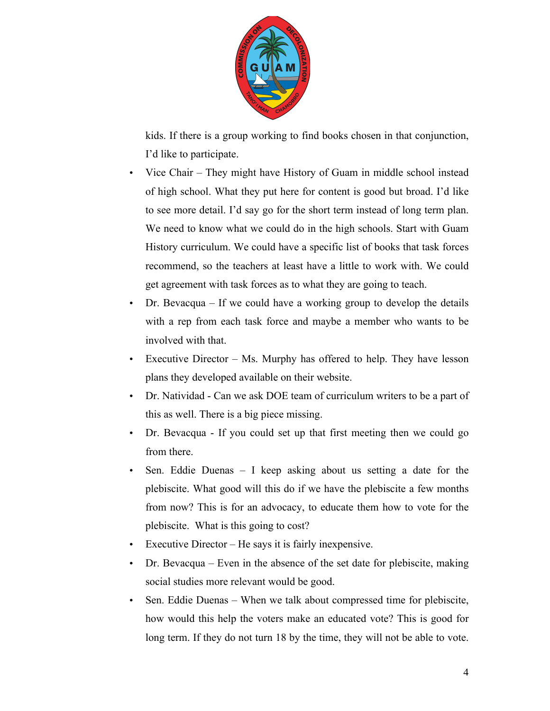

kids. If there is a group working to find books chosen in that conjunction, I'd like to participate.

- Vice Chair They might have History of Guam in middle school instead of high school. What they put here for content is good but broad. I'd like to see more detail. I'd say go for the short term instead of long term plan. We need to know what we could do in the high schools. Start with Guam History curriculum. We could have a specific list of books that task forces recommend, so the teachers at least have a little to work with. We could get agreement with task forces as to what they are going to teach.
- Dr. Bevacqua If we could have a working group to develop the details with a rep from each task force and maybe a member who wants to be involved with that.
- Executive Director Ms. Murphy has offered to help. They have lesson plans they developed available on their website.
- Dr. Natividad Can we ask DOE team of curriculum writers to be a part of this as well. There is a big piece missing.
- Dr. Bevacqua If you could set up that first meeting then we could go from there.
- Sen. Eddie Duenas I keep asking about us setting a date for the plebiscite. What good will this do if we have the plebiscite a few months from now? This is for an advocacy, to educate them how to vote for the plebiscite. What is this going to cost?
- Executive Director He says it is fairly inexpensive.
- Dr. Bevacqua Even in the absence of the set date for plebiscite, making social studies more relevant would be good.
- Sen. Eddie Duenas When we talk about compressed time for plebiscite, how would this help the voters make an educated vote? This is good for long term. If they do not turn 18 by the time, they will not be able to vote.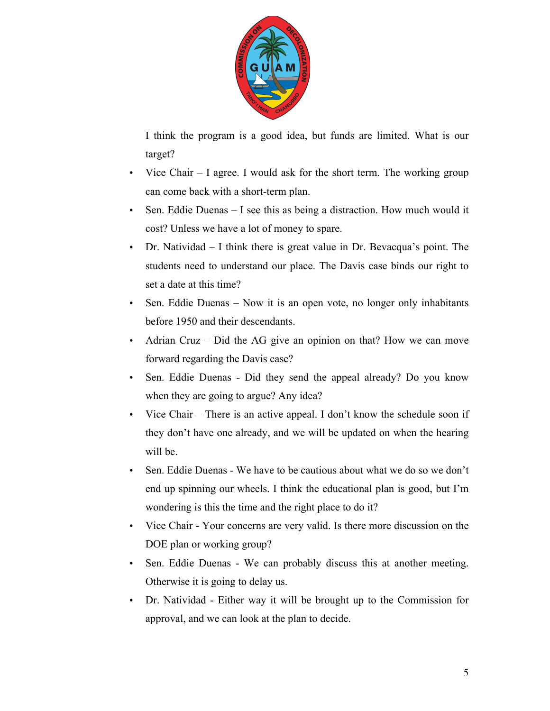

I think the program is a good idea, but funds are limited. What is our target?

- Vice Chair I agree. I would ask for the short term. The working group can come back with a short-term plan.
- Sen. Eddie Duenas I see this as being a distraction. How much would it cost? Unless we have a lot of money to spare.
- Dr. Natividad I think there is great value in Dr. Bevacqua's point. The students need to understand our place. The Davis case binds our right to set a date at this time?
- Sen. Eddie Duenas Now it is an open vote, no longer only inhabitants before 1950 and their descendants.
- Adrian Cruz Did the AG give an opinion on that? How we can move forward regarding the Davis case?
- Sen. Eddie Duenas Did they send the appeal already? Do you know when they are going to argue? Any idea?
- Vice Chair There is an active appeal. I don't know the schedule soon if they don't have one already, and we will be updated on when the hearing will be.
- Sen. Eddie Duenas We have to be cautious about what we do so we don't end up spinning our wheels. I think the educational plan is good, but I'm wondering is this the time and the right place to do it?
- Vice Chair Your concerns are very valid. Is there more discussion on the DOE plan or working group?
- Sen. Eddie Duenas We can probably discuss this at another meeting. Otherwise it is going to delay us.
- Dr. Natividad Either way it will be brought up to the Commission for approval, and we can look at the plan to decide.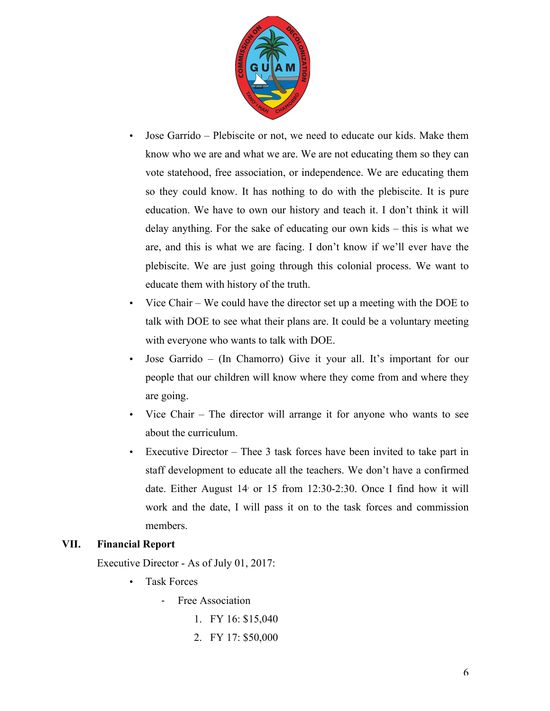

- Jose Garrido Plebiscite or not, we need to educate our kids. Make them know who we are and what we are. We are not educating them so they can vote statehood, free association, or independence. We are educating them so they could know. It has nothing to do with the plebiscite. It is pure education. We have to own our history and teach it. I don't think it will delay anything. For the sake of educating our own kids – this is what we are, and this is what we are facing. I don't know if we'll ever have the plebiscite. We are just going through this colonial process. We want to educate them with history of the truth.
- Vice Chair We could have the director set up a meeting with the DOE to talk with DOE to see what their plans are. It could be a voluntary meeting with everyone who wants to talk with DOE.
- Jose Garrido (In Chamorro) Give it your all. It's important for our people that our children will know where they come from and where they are going.
- Vice Chair The director will arrange it for anyone who wants to see about the curriculum.
- Executive Director Thee 3 task forces have been invited to take part in staff development to educate all the teachers. We don't have a confirmed date. Either August  $14$  or  $15$  from  $12:30-2:30$ . Once I find how it will work and the date, I will pass it on to the task forces and commission members.

#### **VII. Financial Report**

Executive Director - As of July 01, 2017:

- Task Forces
	- Free Association
		- 1. FY 16: \$15,040
		- 2. FY 17: \$50,000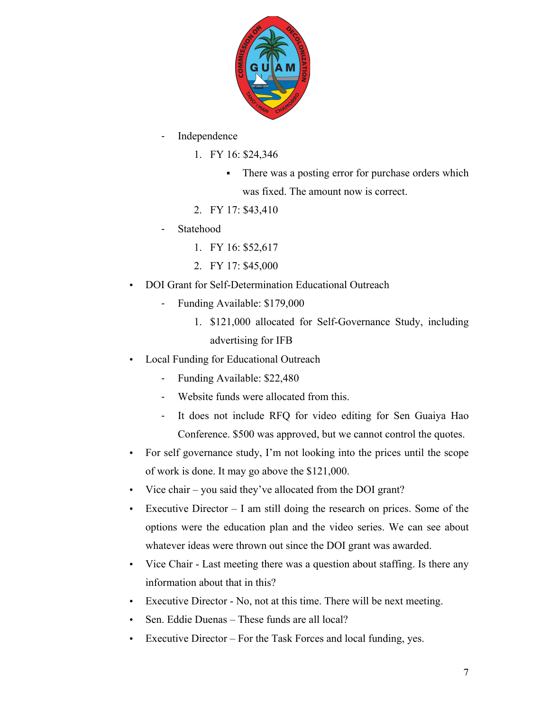

- Independence
	- 1. FY 16: \$24,346
		- There was a posting error for purchase orders which was fixed. The amount now is correct.
	- 2. FY 17: \$43,410
- Statehood
	- 1. FY 16: \$52,617
	- 2. FY 17: \$45,000
- DOI Grant for Self-Determination Educational Outreach
	- Funding Available: \$179,000
		- 1. \$121,000 allocated for Self-Governance Study, including advertising for IFB
- Local Funding for Educational Outreach
	- Funding Available: \$22,480
	- Website funds were allocated from this.
	- It does not include RFQ for video editing for Sen Guaiya Hao Conference. \$500 was approved, but we cannot control the quotes.
- For self governance study, I'm not looking into the prices until the scope of work is done. It may go above the \$121,000.
- Vice chair you said they've allocated from the DOI grant?
- Executive Director I am still doing the research on prices. Some of the options were the education plan and the video series. We can see about whatever ideas were thrown out since the DOI grant was awarded.
- Vice Chair Last meeting there was a question about staffing. Is there any information about that in this?
- Executive Director No, not at this time. There will be next meeting.
- Sen. Eddie Duenas These funds are all local?
- Executive Director For the Task Forces and local funding, yes.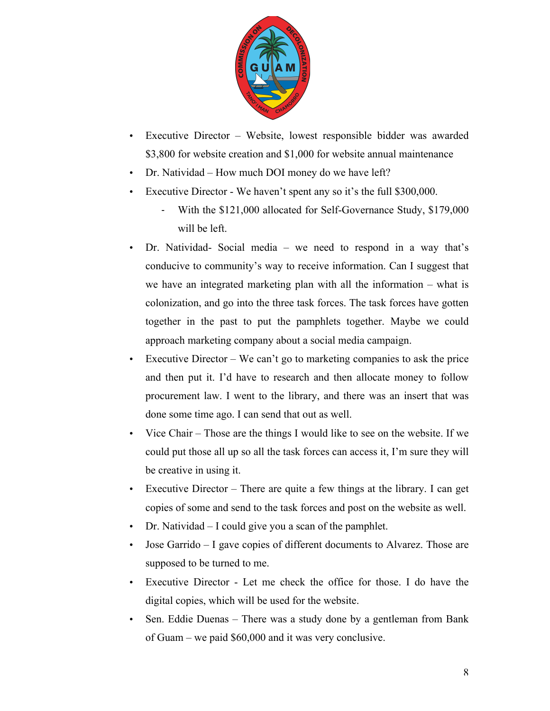

- Executive Director Website, lowest responsible bidder was awarded \$3,800 for website creation and \$1,000 for website annual maintenance
- Dr. Natividad How much DOI money do we have left?
- Executive Director We haven't spent any so it's the full \$300,000.
	- With the \$121,000 allocated for Self-Governance Study, \$179,000 will be left.
- Dr. Natividad- Social media we need to respond in a way that's conducive to community's way to receive information. Can I suggest that we have an integrated marketing plan with all the information – what is colonization, and go into the three task forces. The task forces have gotten together in the past to put the pamphlets together. Maybe we could approach marketing company about a social media campaign.
- Executive Director We can't go to marketing companies to ask the price and then put it. I'd have to research and then allocate money to follow procurement law. I went to the library, and there was an insert that was done some time ago. I can send that out as well.
- Vice Chair Those are the things I would like to see on the website. If we could put those all up so all the task forces can access it, I'm sure they will be creative in using it.
- Executive Director There are quite a few things at the library. I can get copies of some and send to the task forces and post on the website as well.
- Dr. Natividad I could give you a scan of the pamphlet.
- Jose Garrido I gave copies of different documents to Alvarez. Those are supposed to be turned to me.
- Executive Director Let me check the office for those. I do have the digital copies, which will be used for the website.
- Sen. Eddie Duenas There was a study done by a gentleman from Bank of Guam – we paid \$60,000 and it was very conclusive.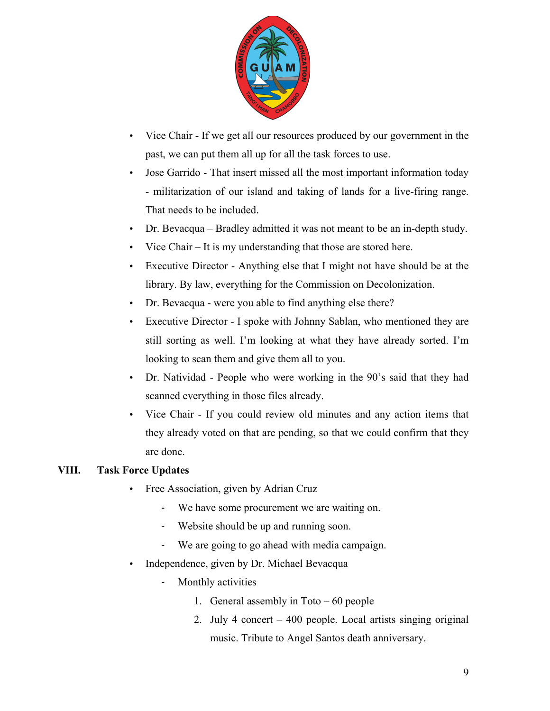

- Vice Chair If we get all our resources produced by our government in the past, we can put them all up for all the task forces to use.
- Jose Garrido That insert missed all the most important information today - militarization of our island and taking of lands for a live-firing range. That needs to be included.
- Dr. Bevacqua Bradley admitted it was not meant to be an in-depth study.
- Vice Chair It is my understanding that those are stored here.
- Executive Director Anything else that I might not have should be at the library. By law, everything for the Commission on Decolonization.
- Dr. Bevacqua were you able to find anything else there?
- Executive Director I spoke with Johnny Sablan, who mentioned they are still sorting as well. I'm looking at what they have already sorted. I'm looking to scan them and give them all to you.
- Dr. Natividad People who were working in the 90's said that they had scanned everything in those files already.
- Vice Chair If you could review old minutes and any action items that they already voted on that are pending, so that we could confirm that they are done.

#### **VIII. Task Force Updates**

- Free Association, given by Adrian Cruz
	- We have some procurement we are waiting on.
	- Website should be up and running soon.
	- We are going to go ahead with media campaign.
- Independence, given by Dr. Michael Bevacqua
	- Monthly activities
		- 1. General assembly in Toto 60 people
		- 2. July 4 concert 400 people. Local artists singing original music. Tribute to Angel Santos death anniversary.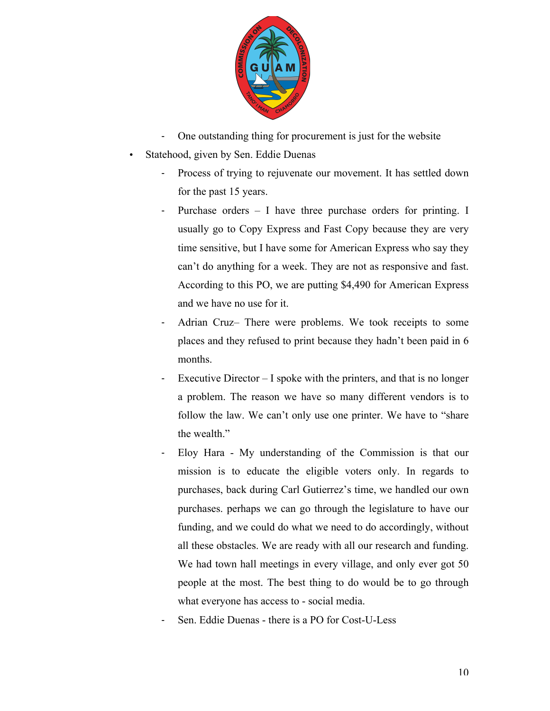

- One outstanding thing for procurement is just for the website
- Statehood, given by Sen. Eddie Duenas
	- Process of trying to rejuvenate our movement. It has settled down for the past 15 years.
	- Purchase orders  $-$  I have three purchase orders for printing. I usually go to Copy Express and Fast Copy because they are very time sensitive, but I have some for American Express who say they can't do anything for a week. They are not as responsive and fast. According to this PO, we are putting \$4,490 for American Express and we have no use for it.
	- Adrian Cruz– There were problems. We took receipts to some places and they refused to print because they hadn't been paid in 6 months.
	- Executive Director  $-$  I spoke with the printers, and that is no longer a problem. The reason we have so many different vendors is to follow the law. We can't only use one printer. We have to "share the wealth."
	- Eloy Hara My understanding of the Commission is that our mission is to educate the eligible voters only. In regards to purchases, back during Carl Gutierrez's time, we handled our own purchases. perhaps we can go through the legislature to have our funding, and we could do what we need to do accordingly, without all these obstacles. We are ready with all our research and funding. We had town hall meetings in every village, and only ever got 50 people at the most. The best thing to do would be to go through what everyone has access to - social media.
	- Sen. Eddie Duenas there is a PO for Cost-U-Less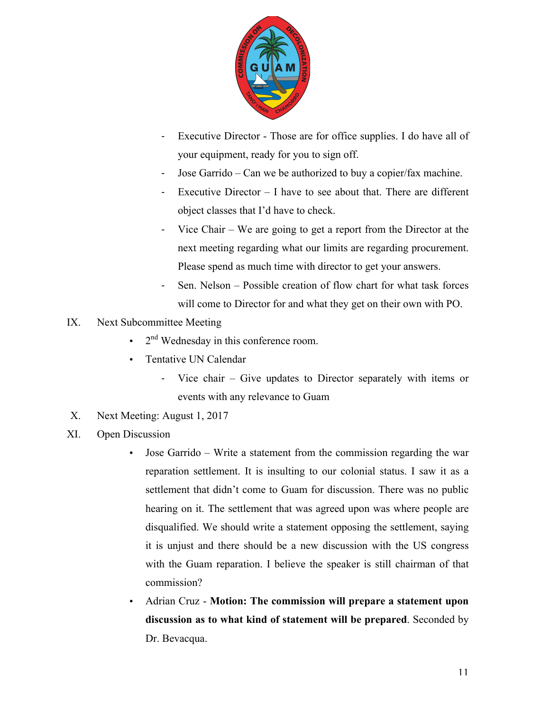

- Executive Director Those are for office supplies. I do have all of your equipment, ready for you to sign off.
- Jose Garrido Can we be authorized to buy a copier/fax machine.
- Executive Director  $I$  have to see about that. There are different object classes that I'd have to check.
- Vice Chair We are going to get a report from the Director at the next meeting regarding what our limits are regarding procurement. Please spend as much time with director to get your answers.
- Sen. Nelson Possible creation of flow chart for what task forces will come to Director for and what they get on their own with PO.
- IX. Next Subcommittee Meeting
	- $\cdot$  2<sup>nd</sup> Wednesday in this conference room.
	- Tentative UN Calendar
		- Vice chair Give updates to Director separately with items or events with any relevance to Guam
- X. Next Meeting: August 1, 2017
- XI. Open Discussion
	- Jose Garrido Write a statement from the commission regarding the war reparation settlement. It is insulting to our colonial status. I saw it as a settlement that didn't come to Guam for discussion. There was no public hearing on it. The settlement that was agreed upon was where people are disqualified. We should write a statement opposing the settlement, saying it is unjust and there should be a new discussion with the US congress with the Guam reparation. I believe the speaker is still chairman of that commission?
	- Adrian Cruz **Motion: The commission will prepare a statement upon discussion as to what kind of statement will be prepared**. Seconded by Dr. Bevacqua.